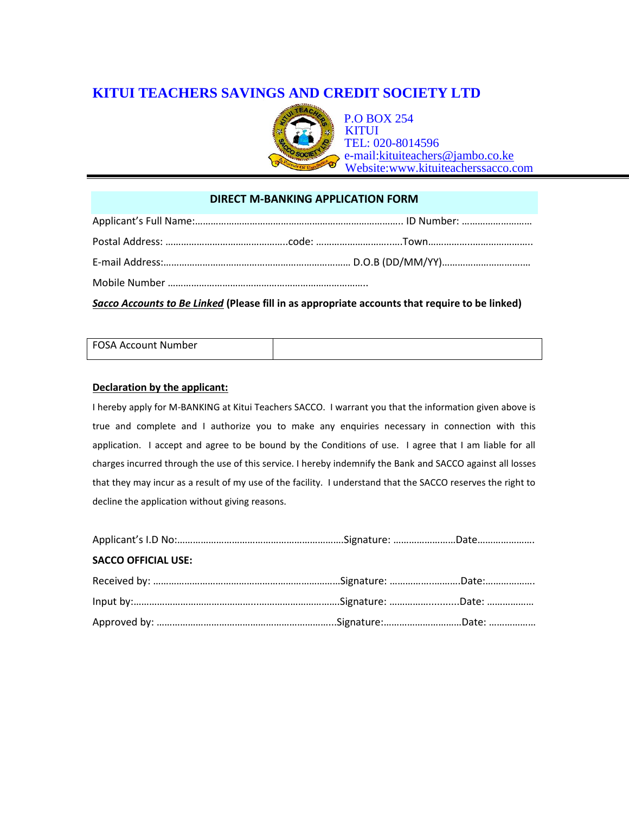# **KITUI TEACHERS SAVINGS AND CREDIT SOCIETY LTD**



## **DIRECT M-BANKING APPLICATION FORM**

| Sacco Accounts to Be Linked (Please fill in as appropriate accounts that require to be linked) |  |  |  |  |
|------------------------------------------------------------------------------------------------|--|--|--|--|

# FOSA Account Number

## **Declaration by the applicant:**

I hereby apply for M-BANKING at Kitui Teachers SACCO. I warrant you that the information given above is true and complete and I authorize you to make any enquiries necessary in connection with this application. I accept and agree to be bound by the Conditions of use. I agree that I am liable for all charges incurred through the use of this service. I hereby indemnify the Bank and SACCO against all losses that they may incur as a result of my use of the facility. I understand that the SACCO reserves the right to decline the application without giving reasons.

| <b>SACCO OFFICIAL USE:</b> |  |
|----------------------------|--|
|                            |  |
|                            |  |
|                            |  |